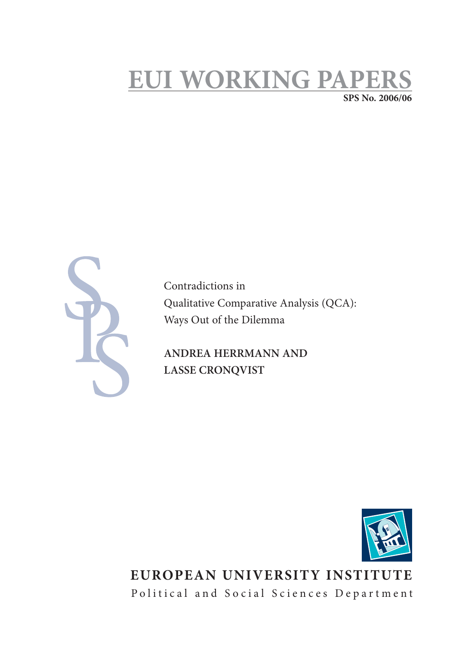# **EUI WORKING PAPE SPS No. 2006/06**



Contradictions in Qualitative Comparative Analysis (QCA): Ways Out of the Dilemma

**ANDREA HERRMANN AND LASSE CRONQVIST** 



**EUROPEAN UNIVERSITY INSTITUTE** Political and Social Sciences Department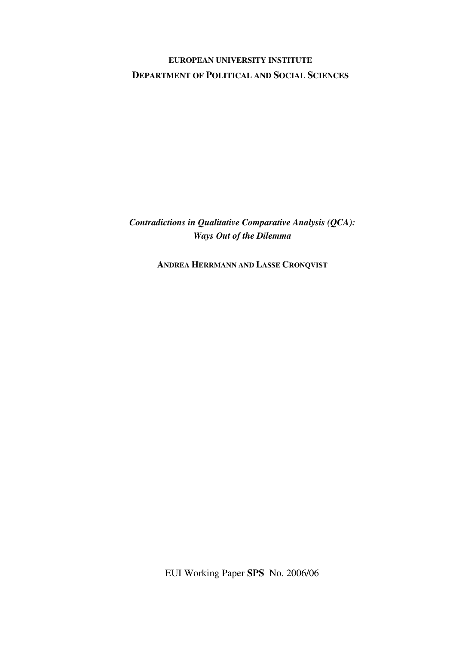### **EUROPEAN UNIVERSITY INSTITUTE DEPARTMENT OF POLITICAL AND SOCIAL SCIENCES**

*Contradictions in Qualitative Comparative Analysis (QCA): Ways Out of the Dilemma* 

**ANDREA HERRMANN AND LASSE CRONQVIST** 

EUI Working Paper **SPS** No. 2006/06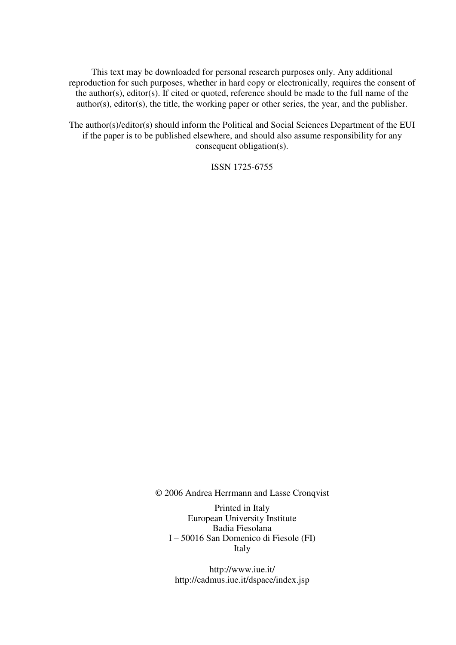This text may be downloaded for personal research purposes only. Any additional reproduction for such purposes, whether in hard copy or electronically, requires the consent of the author(s), editor(s). If cited or quoted, reference should be made to the full name of the author(s), editor(s), the title, the working paper or other series, the year, and the publisher.

The author(s)/editor(s) should inform the Political and Social Sciences Department of the EUI if the paper is to be published elsewhere, and should also assume responsibility for any consequent obligation(s).

ISSN 1725-6755

© 2006 Andrea Herrmann and Lasse Cronqvist

Printed in Italy European University Institute Badia Fiesolana I – 50016 San Domenico di Fiesole (FI) Italy

http://www.iue.it/ http://cadmus.iue.it/dspace/index.jsp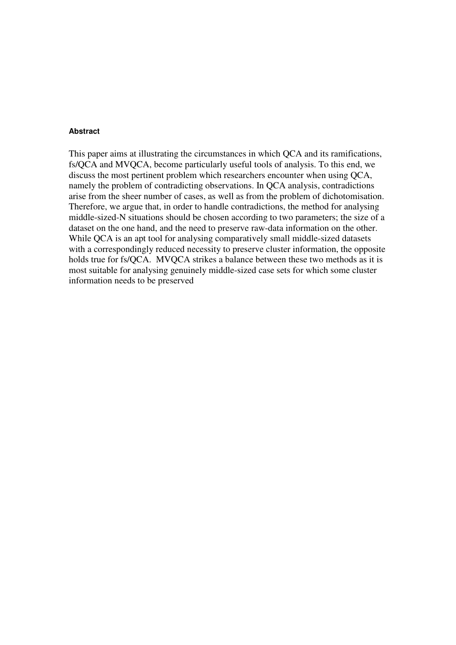#### **Abstract**

This paper aims at illustrating the circumstances in which QCA and its ramifications, fs/QCA and MVQCA, become particularly useful tools of analysis. To this end, we discuss the most pertinent problem which researchers encounter when using QCA, namely the problem of contradicting observations. In QCA analysis, contradictions arise from the sheer number of cases, as well as from the problem of dichotomisation. Therefore, we argue that, in order to handle contradictions, the method for analysing middle-sized-N situations should be chosen according to two parameters; the size of a dataset on the one hand, and the need to preserve raw-data information on the other. While QCA is an apt tool for analysing comparatively small middle-sized datasets with a correspondingly reduced necessity to preserve cluster information, the opposite holds true for fs/QCA. MVQCA strikes a balance between these two methods as it is most suitable for analysing genuinely middle-sized case sets for which some cluster information needs to be preserved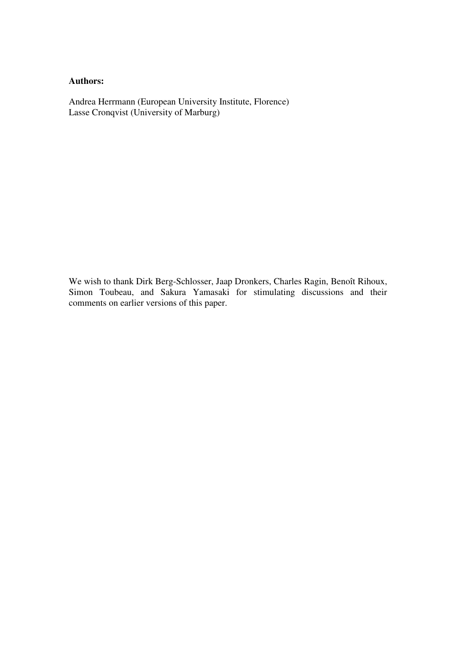### **Authors:**

Andrea Herrmann (European University Institute, Florence) Lasse Cronqvist (University of Marburg)

We wish to thank Dirk Berg-Schlosser, Jaap Dronkers, Charles Ragin, Benoît Rihoux, Simon Toubeau, and Sakura Yamasaki for stimulating discussions and their comments on earlier versions of this paper.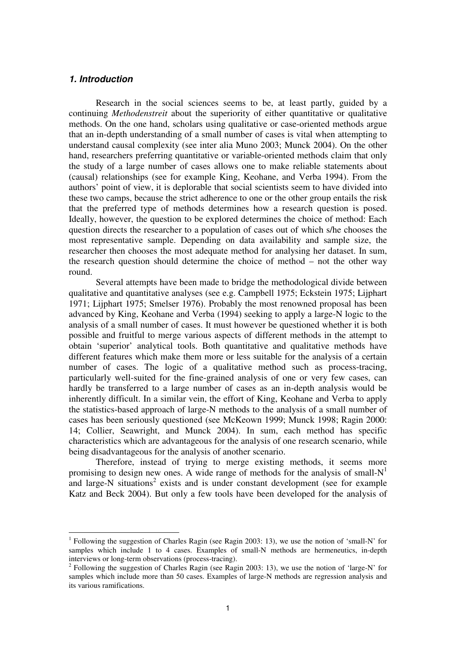#### **1. Introduction**

 $\overline{a}$ 

Research in the social sciences seems to be, at least partly, guided by a continuing *Methodenstreit* about the superiority of either quantitative or qualitative methods. On the one hand, scholars using qualitative or case-oriented methods argue that an in-depth understanding of a small number of cases is vital when attempting to understand causal complexity (see inter alia Muno 2003; Munck 2004). On the other hand, researchers preferring quantitative or variable-oriented methods claim that only the study of a large number of cases allows one to make reliable statements about (causal) relationships (see for example King, Keohane, and Verba 1994). From the authors' point of view, it is deplorable that social scientists seem to have divided into these two camps, because the strict adherence to one or the other group entails the risk that the preferred type of methods determines how a research question is posed. Ideally, however, the question to be explored determines the choice of method: Each question directs the researcher to a population of cases out of which s/he chooses the most representative sample. Depending on data availability and sample size, the researcher then chooses the most adequate method for analysing her dataset. In sum, the research question should determine the choice of method – not the other way round.

Several attempts have been made to bridge the methodological divide between qualitative and quantitative analyses (see e.g. Campbell 1975; Eckstein 1975; Lijphart 1971; Lijphart 1975; Smelser 1976). Probably the most renowned proposal has been advanced by King, Keohane and Verba (1994) seeking to apply a large-N logic to the analysis of a small number of cases. It must however be questioned whether it is both possible and fruitful to merge various aspects of different methods in the attempt to obtain 'superior' analytical tools. Both quantitative and qualitative methods have different features which make them more or less suitable for the analysis of a certain number of cases. The logic of a qualitative method such as process-tracing, particularly well-suited for the fine-grained analysis of one or very few cases, can hardly be transferred to a large number of cases as an in-depth analysis would be inherently difficult. In a similar vein, the effort of King, Keohane and Verba to apply the statistics-based approach of large-N methods to the analysis of a small number of cases has been seriously questioned (see McKeown 1999; Munck 1998; Ragin 2000: 14; Collier, Seawright, and Munck 2004). In sum, each method has specific characteristics which are advantageous for the analysis of one research scenario, while being disadvantageous for the analysis of another scenario.

Therefore, instead of trying to merge existing methods, it seems more promising to design new ones. A wide range of methods for the analysis of small- $N<sup>1</sup>$ and large-N situations<sup>2</sup> exists and is under constant development (see for example Katz and Beck 2004). But only a few tools have been developed for the analysis of

<sup>1</sup> Following the suggestion of Charles Ragin (see Ragin 2003: 13), we use the notion of 'small-N' for samples which include 1 to 4 cases. Examples of small-N methods are hermeneutics, in-depth interviews or long-term observations (process-tracing).

<sup>&</sup>lt;sup>2</sup> Following the suggestion of Charles Ragin (see Ragin 2003: 13), we use the notion of 'large-N' for samples which include more than 50 cases. Examples of large-N methods are regression analysis and its various ramifications.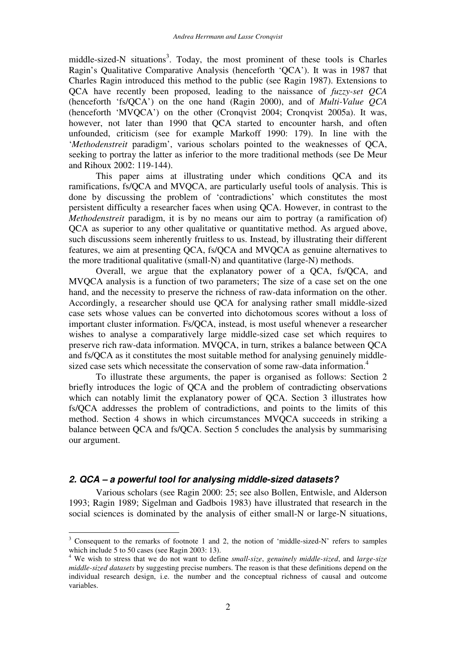middle-sized-N situations<sup>3</sup>. Today, the most prominent of these tools is Charles Ragin's Qualitative Comparative Analysis (henceforth 'QCA'). It was in 1987 that Charles Ragin introduced this method to the public (see Ragin 1987). Extensions to QCA have recently been proposed, leading to the naissance of *fuzzy-set QCA* (henceforth 'fs/QCA') on the one hand (Ragin 2000), and of *Multi-Value QCA* (henceforth 'MVQCA') on the other (Cronqvist 2004; Cronqvist 2005a). It was, however, not later than 1990 that QCA started to encounter harsh, and often unfounded, criticism (see for example Markoff 1990: 179). In line with the '*Methodenstreit* paradigm', various scholars pointed to the weaknesses of QCA, seeking to portray the latter as inferior to the more traditional methods (see De Meur and Rihoux 2002: 119-144).

This paper aims at illustrating under which conditions QCA and its ramifications, fs/QCA and MVQCA, are particularly useful tools of analysis. This is done by discussing the problem of 'contradictions' which constitutes the most persistent difficulty a researcher faces when using QCA. However, in contrast to the *Methodenstreit* paradigm, it is by no means our aim to portray (a ramification of) QCA as superior to any other qualitative or quantitative method. As argued above, such discussions seem inherently fruitless to us. Instead, by illustrating their different features, we aim at presenting QCA, fs/QCA and MVQCA as genuine alternatives to the more traditional qualitative (small-N) and quantitative (large-N) methods.

Overall, we argue that the explanatory power of a QCA, fs/QCA, and MVQCA analysis is a function of two parameters; The size of a case set on the one hand, and the necessity to preserve the richness of raw-data information on the other. Accordingly, a researcher should use QCA for analysing rather small middle-sized case sets whose values can be converted into dichotomous scores without a loss of important cluster information. Fs/QCA, instead, is most useful whenever a researcher wishes to analyse a comparatively large middle-sized case set which requires to preserve rich raw-data information. MVQCA, in turn, strikes a balance between QCA and fs/QCA as it constitutes the most suitable method for analysing genuinely middlesized case sets which necessitate the conservation of some raw-data information.<sup>4</sup>

To illustrate these arguments, the paper is organised as follows: Section 2 briefly introduces the logic of QCA and the problem of contradicting observations which can notably limit the explanatory power of QCA. Section 3 illustrates how fs/QCA addresses the problem of contradictions, and points to the limits of this method. Section 4 shows in which circumstances MVQCA succeeds in striking a balance between QCA and fs/QCA. Section 5 concludes the analysis by summarising our argument.

#### **2. QCA – a powerful tool for analysing middle-sized datasets?**

Various scholars (see Ragin 2000: 25; see also Bollen, Entwisle, and Alderson 1993; Ragin 1989; Sigelman and Gadbois 1983) have illustrated that research in the social sciences is dominated by the analysis of either small-N or large-N situations,

<sup>&</sup>lt;sup>3</sup> Consequent to the remarks of footnote 1 and 2, the notion of 'middle-sized-N' refers to samples which include 5 to 50 cases (see Ragin 2003: 13).

<sup>4</sup> We wish to stress that we do not want to define *small-size*, *genuinely middle-sized*, and *large-size middle-sized datasets* by suggesting precise numbers. The reason is that these definitions depend on the individual research design, i.e. the number and the conceptual richness of causal and outcome variables.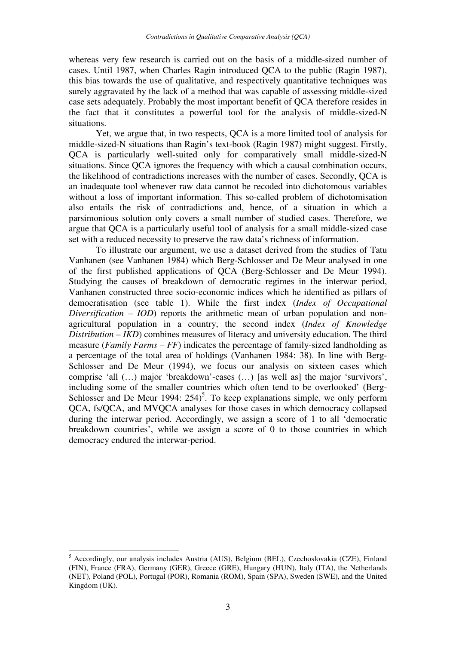whereas very few research is carried out on the basis of a middle-sized number of cases. Until 1987, when Charles Ragin introduced QCA to the public (Ragin 1987), this bias towards the use of qualitative, and respectively quantitative techniques was surely aggravated by the lack of a method that was capable of assessing middle-sized case sets adequately. Probably the most important benefit of QCA therefore resides in the fact that it constitutes a powerful tool for the analysis of middle-sized-N situations.

Yet, we argue that, in two respects, QCA is a more limited tool of analysis for middle-sized-N situations than Ragin's text-book (Ragin 1987) might suggest. Firstly, QCA is particularly well-suited only for comparatively small middle-sized-N situations. Since QCA ignores the frequency with which a causal combination occurs, the likelihood of contradictions increases with the number of cases. Secondly, QCA is an inadequate tool whenever raw data cannot be recoded into dichotomous variables without a loss of important information. This so-called problem of dichotomisation also entails the risk of contradictions and, hence, of a situation in which a parsimonious solution only covers a small number of studied cases. Therefore, we argue that QCA is a particularly useful tool of analysis for a small middle-sized case set with a reduced necessity to preserve the raw data's richness of information.

To illustrate our argument, we use a dataset derived from the studies of Tatu Vanhanen (see Vanhanen 1984) which Berg-Schlosser and De Meur analysed in one of the first published applications of QCA (Berg-Schlosser and De Meur 1994). Studying the causes of breakdown of democratic regimes in the interwar period, Vanhanen constructed three socio-economic indices which he identified as pillars of democratisation (see table 1). While the first index (*Index of Occupational Diversification – IOD*) reports the arithmetic mean of urban population and nonagricultural population in a country, the second index (*Index of Knowledge Distribution* – *IKD*) combines measures of literacy and university education. The third measure (*Family Farms – FF*) indicates the percentage of family-sized landholding as a percentage of the total area of holdings (Vanhanen 1984: 38). In line with Berg-Schlosser and De Meur (1994), we focus our analysis on sixteen cases which comprise 'all (…) major 'breakdown'-cases (…) [as well as] the major 'survivors', including some of the smaller countries which often tend to be overlooked' (Berg-Schlosser and De Meur 1994:  $254$ <sup>5</sup>. To keep explanations simple, we only perform QCA, fs/QCA, and MVQCA analyses for those cases in which democracy collapsed during the interwar period. Accordingly, we assign a score of 1 to all 'democratic breakdown countries', while we assign a score of 0 to those countries in which democracy endured the interwar-period.

 $\overline{a}$ 

<sup>&</sup>lt;sup>5</sup> Accordingly, our analysis includes Austria (AUS), Belgium (BEL), Czechoslovakia (CZE), Finland (FIN), France (FRA), Germany (GER), Greece (GRE), Hungary (HUN), Italy (ITA), the Netherlands (NET), Poland (POL), Portugal (POR), Romania (ROM), Spain (SPA), Sweden (SWE), and the United Kingdom (UK).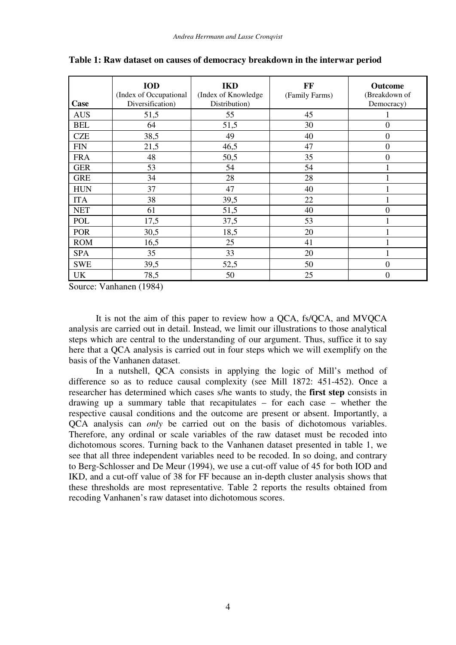| Case       | <b>IOD</b><br>(Index of Occupational<br>Diversification) | <b>IKD</b><br>(Index of Knowledge)<br>Distribution) | FF<br>(Family Farms) | <b>Outcome</b><br>(Breakdown of<br>Democracy) |
|------------|----------------------------------------------------------|-----------------------------------------------------|----------------------|-----------------------------------------------|
| <b>AUS</b> | 51,5                                                     | 55                                                  | 45                   |                                               |
| <b>BEL</b> | 64                                                       | 51,5                                                | 30                   | $\mathbf{0}$                                  |
| <b>CZE</b> | 38,5                                                     | 49                                                  | 40                   | $\boldsymbol{0}$                              |
| <b>FIN</b> | 21,5                                                     | 46,5                                                | 47                   | $\mathbf{0}$                                  |
| <b>FRA</b> | 48                                                       | 50,5                                                | 35                   | $\overline{0}$                                |
| <b>GER</b> | 53                                                       | 54                                                  | 54                   |                                               |
| <b>GRE</b> | 34                                                       | 28                                                  | 28                   |                                               |
| <b>HUN</b> | 37                                                       | 47                                                  | 40                   |                                               |
| <b>ITA</b> | 38                                                       | 39,5                                                | 22                   |                                               |
| <b>NET</b> | 61                                                       | 51,5                                                | 40                   | $\overline{0}$                                |
| POL        | 17,5                                                     | 37,5                                                | 53                   |                                               |
| <b>POR</b> | 30,5                                                     | 18,5                                                | 20                   |                                               |
| <b>ROM</b> | 16,5                                                     | 25                                                  | 41                   |                                               |
| <b>SPA</b> | 35                                                       | 33                                                  | 20                   |                                               |
| <b>SWE</b> | 39,5                                                     | 52,5                                                | 50                   | $\theta$                                      |
| <b>UK</b>  | 78,5                                                     | 50                                                  | 25                   | $\overline{0}$                                |

**Table 1: Raw dataset on causes of democracy breakdown in the interwar period**

Source: Vanhanen (1984)

It is not the aim of this paper to review how a QCA, fs/QCA, and MVQCA analysis are carried out in detail. Instead, we limit our illustrations to those analytical steps which are central to the understanding of our argument. Thus, suffice it to say here that a QCA analysis is carried out in four steps which we will exemplify on the basis of the Vanhanen dataset.

In a nutshell, QCA consists in applying the logic of Mill's method of difference so as to reduce causal complexity (see Mill 1872: 451-452). Once a researcher has determined which cases s/he wants to study, the **first step** consists in drawing up a summary table that recapitulates – for each case – whether the respective causal conditions and the outcome are present or absent. Importantly, a QCA analysis can *only* be carried out on the basis of dichotomous variables. Therefore, any ordinal or scale variables of the raw dataset must be recoded into dichotomous scores. Turning back to the Vanhanen dataset presented in table 1, we see that all three independent variables need to be recoded. In so doing, and contrary to Berg-Schlosser and De Meur (1994), we use a cut-off value of 45 for both IOD and IKD, and a cut-off value of 38 for FF because an in-depth cluster analysis shows that these thresholds are most representative. Table 2 reports the results obtained from recoding Vanhanen's raw dataset into dichotomous scores.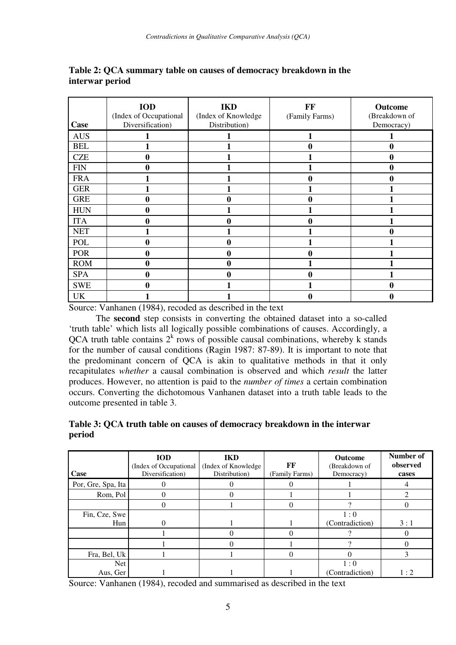| Case       | <b>IOD</b><br>(Index of Occupational<br>Diversification) | <b>IKD</b><br>(Index of Knowledge)<br>Distribution) | FF<br>(Family Farms) | <b>Outcome</b><br>(Breakdown of<br>Democracy) |
|------------|----------------------------------------------------------|-----------------------------------------------------|----------------------|-----------------------------------------------|
| <b>AUS</b> |                                                          |                                                     |                      |                                               |
| <b>BEL</b> |                                                          |                                                     | 0                    | 0                                             |
| <b>CZE</b> | $\bf{0}$                                                 |                                                     |                      | 0                                             |
| <b>FIN</b> | $\bf{0}$                                                 |                                                     |                      | 0                                             |
| <b>FRA</b> |                                                          |                                                     | 0                    | 0                                             |
| <b>GER</b> |                                                          |                                                     |                      |                                               |
| <b>GRE</b> | $\bf{0}$                                                 | 0                                                   | 0                    |                                               |
| <b>HUN</b> | $\bf{0}$                                                 |                                                     |                      |                                               |
| <b>ITA</b> | $\bf{0}$                                                 | 0                                                   | 0                    |                                               |
| <b>NET</b> |                                                          |                                                     |                      | $\bf{0}$                                      |
| POL        | $\mathbf{0}$                                             | 0                                                   |                      |                                               |
| <b>POR</b> | $\bf{0}$                                                 | 0                                                   | 0                    |                                               |
| <b>ROM</b> | $\mathbf{0}$                                             | 0                                                   |                      |                                               |
| <b>SPA</b> | $\mathbf{0}$                                             | 0                                                   | 0                    |                                               |
| <b>SWE</b> | $\mathbf{0}$                                             |                                                     |                      | 0                                             |
| UK         |                                                          |                                                     |                      | 0                                             |

#### **Table 2: QCA summary table on causes of democracy breakdown in the interwar period**

Source: Vanhanen (1984), recoded as described in the text

The **second** step consists in converting the obtained dataset into a so-called 'truth table' which lists all logically possible combinations of causes. Accordingly, a QCA truth table contains  $2<sup>k</sup>$  rows of possible causal combinations, whereby k stands for the number of causal conditions (Ragin 1987: 87-89). It is important to note that the predominant concern of QCA is akin to qualitative methods in that it only recapitulates *whether* a causal combination is observed and which *result* the latter produces. However, no attention is paid to the *number of times* a certain combination occurs. Converting the dichotomous Vanhanen dataset into a truth table leads to the outcome presented in table 3.

#### **Table 3: QCA truth table on causes of democracy breakdown in the interwar period**

| Case               | <b>IOD</b><br>(Index of Occupational)<br>Diversification) | IKD<br>(Index of Knowledge)<br>Distribution) | FF<br>(Family Farms) | <b>Outcome</b><br>(Breakdown of<br>Democracy) | Number of<br>observed<br>cases |
|--------------------|-----------------------------------------------------------|----------------------------------------------|----------------------|-----------------------------------------------|--------------------------------|
| Por, Gre, Spa, Ita |                                                           |                                              |                      |                                               |                                |
| Rom, Pol           |                                                           |                                              |                      |                                               |                                |
|                    |                                                           |                                              |                      |                                               |                                |
| Fin, Cze, Swe      |                                                           |                                              |                      | 1:0                                           |                                |
| Hun                |                                                           |                                              |                      | (Contradiction)                               | 3:1                            |
|                    |                                                           |                                              |                      |                                               |                                |
|                    |                                                           |                                              |                      |                                               |                                |
| Fra, Bel, Uk       |                                                           |                                              |                      |                                               |                                |
| <b>Net</b>         |                                                           |                                              |                      | 1:0                                           |                                |
| Aus, Ger           |                                                           |                                              |                      | (Contradiction)                               | 1:2                            |

Source: Vanhanen (1984), recoded and summarised as described in the text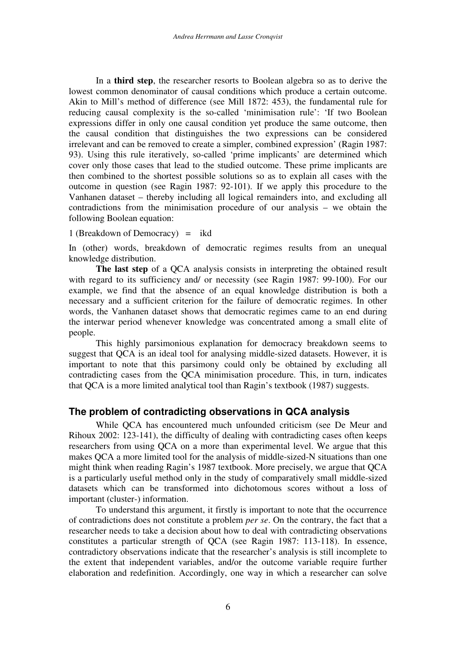In a **third step**, the researcher resorts to Boolean algebra so as to derive the lowest common denominator of causal conditions which produce a certain outcome. Akin to Mill's method of difference (see Mill 1872: 453), the fundamental rule for reducing causal complexity is the so-called 'minimisation rule': 'If two Boolean expressions differ in only one causal condition yet produce the same outcome, then the causal condition that distinguishes the two expressions can be considered irrelevant and can be removed to create a simpler, combined expression' (Ragin 1987: 93). Using this rule iteratively, so-called 'prime implicants' are determined which cover only those cases that lead to the studied outcome. These prime implicants are then combined to the shortest possible solutions so as to explain all cases with the outcome in question (see Ragin 1987: 92-101). If we apply this procedure to the Vanhanen dataset – thereby including all logical remainders into, and excluding all contradictions from the minimisation procedure of our analysis – we obtain the following Boolean equation:

1 (Breakdown of Democracy) = ikd

In (other) words, breakdown of democratic regimes results from an unequal knowledge distribution.

**The last step** of a QCA analysis consists in interpreting the obtained result with regard to its sufficiency and/ or necessity (see Ragin 1987: 99-100). For our example, we find that the absence of an equal knowledge distribution is both a necessary and a sufficient criterion for the failure of democratic regimes. In other words, the Vanhanen dataset shows that democratic regimes came to an end during the interwar period whenever knowledge was concentrated among a small elite of people.

This highly parsimonious explanation for democracy breakdown seems to suggest that QCA is an ideal tool for analysing middle-sized datasets. However, it is important to note that this parsimony could only be obtained by excluding all contradicting cases from the QCA minimisation procedure. This, in turn, indicates that QCA is a more limited analytical tool than Ragin's textbook (1987) suggests.

### **The problem of contradicting observations in QCA analysis**

While QCA has encountered much unfounded criticism (see De Meur and Rihoux 2002: 123-141), the difficulty of dealing with contradicting cases often keeps researchers from using QCA on a more than experimental level. We argue that this makes QCA a more limited tool for the analysis of middle-sized-N situations than one might think when reading Ragin's 1987 textbook. More precisely, we argue that QCA is a particularly useful method only in the study of comparatively small middle-sized datasets which can be transformed into dichotomous scores without a loss of important (cluster-) information.

To understand this argument, it firstly is important to note that the occurrence of contradictions does not constitute a problem *per se*. On the contrary, the fact that a researcher needs to take a decision about how to deal with contradicting observations constitutes a particular strength of QCA (see Ragin 1987: 113-118). In essence, contradictory observations indicate that the researcher's analysis is still incomplete to the extent that independent variables, and/or the outcome variable require further elaboration and redefinition. Accordingly, one way in which a researcher can solve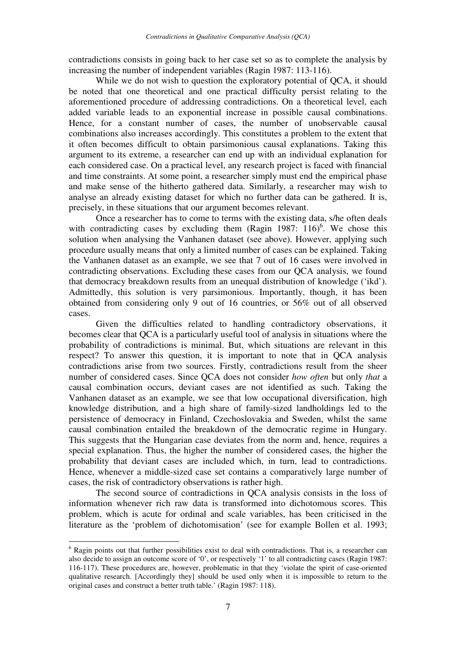contradictions consists in going back to her case set so as to complete the analysis by increasing the number of independent variables (Ragin 1987: 113-116).

While we do not wish to question the exploratory potential of OCA, it should be noted that one theoretical and one practical difficulty persist relating to the aforementioned procedure of addressing contradictions. On a theoretical level, each added variable leads to an exponential increase in possible causal combinations. Hence, for a constant number of cases, the number of unobservable causal combinations also increases accordingly. This constitutes a problem to the extent that it often becomes difficult to obtain parsimonious causal explanations. Taking this argument to its extreme, a researcher can end up with an individual explanation for each considered case. On a practical level, any research project is faced with financial and time constraints. At some point, a researcher simply must end the empirical phase and make sense of the hitherto gathered data. Similarly, a researcher may wish to analyse an already existing dataset for which no further data can be gathered. It is, precisely, in these situations that our argument becomes relevant.

Once a researcher has to come to terms with the existing data, s/he often deals with contradicting cases by excluding them (Ragin 1987:  $116$ )<sup>6</sup>. We chose this solution when analysing the Vanhanen dataset (see above). However, applying such procedure usually means that only a limited number of cases can be explained. Taking the Vanhanen dataset as an example, we see that 7 out of 16 cases were involved in contradicting observations. Excluding these cases from our QCA analysis, we found that democracy breakdown results from an unequal distribution of knowledge ('ikd'). Admittedly, this solution is very parsimonious. Importantly, though, it has been obtained from considering only 9 out of 16 countries, or 56% out of all observed cases.

Given the difficulties related to handling contradictory observations, it becomes clear that QCA is a particularly useful tool of analysis in situations where the probability of contradictions is minimal. But, which situations are relevant in this respect? To answer this question, it is important to note that in QCA analysis contradictions arise from two sources. Firstly, contradictions result from the sheer number of considered cases. Since QCA does not consider *how often* but only *that* a causal combination occurs, deviant cases are not identified as such. Taking the Vanhanen dataset as an example, we see that low occupational diversification, high knowledge distribution, and a high share of family-sized landholdings led to the persistence of democracy in Finland, Czechoslovakia and Sweden, whilst the same causal combination entailed the breakdown of the democratic regime in Hungary. This suggests that the Hungarian case deviates from the norm and, hence, requires a special explanation. Thus, the higher the number of considered cases, the higher the probability that deviant cases are included which, in turn, lead to contradictions. Hence, whenever a middle-sized case set contains a comparatively large number of cases, the risk of contradictory observations is rather high.

The second source of contradictions in QCA analysis consists in the loss of information whenever rich raw data is transformed into dichotomous scores. This problem, which is acute for ordinal and scale variables, has been criticised in the literature as the 'problem of dichotomisation' (see for example Bollen et al. 1993;

 $\overline{a}$ 

<sup>&</sup>lt;sup>6</sup> Ragin points out that further possibilities exist to deal with contradictions. That is, a researcher can also decide to assign an outcome score of '0', or respectively '1' to all contradicting cases (Ragin 1987: 116-117). These procedures are, however, problematic in that they 'violate the spirit of case-oriented qualitative research. [Accordingly they] should be used only when it is impossible to return to the original cases and construct a better truth table.' (Ragin 1987: 118).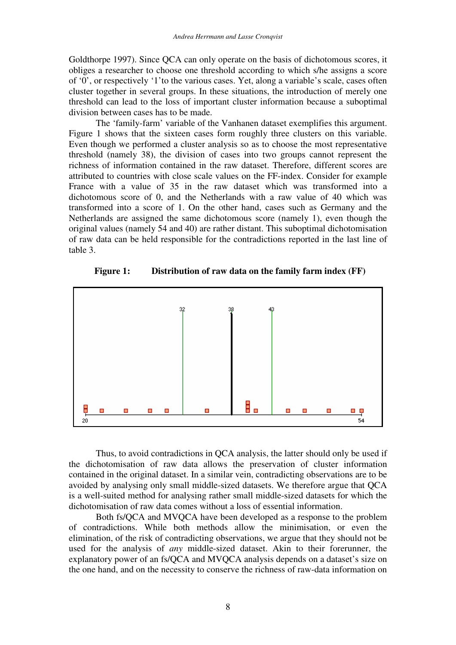Goldthorpe 1997). Since QCA can only operate on the basis of dichotomous scores, it obliges a researcher to choose one threshold according to which s/he assigns a score of '0', or respectively '1'to the various cases. Yet, along a variable's scale, cases often cluster together in several groups. In these situations, the introduction of merely one threshold can lead to the loss of important cluster information because a suboptimal division between cases has to be made.

The 'family-farm' variable of the Vanhanen dataset exemplifies this argument. Figure 1 shows that the sixteen cases form roughly three clusters on this variable. Even though we performed a cluster analysis so as to choose the most representative threshold (namely 38), the division of cases into two groups cannot represent the richness of information contained in the raw dataset. Therefore, different scores are attributed to countries with close scale values on the FF-index. Consider for example France with a value of 35 in the raw dataset which was transformed into a dichotomous score of 0, and the Netherlands with a raw value of 40 which was transformed into a score of 1. On the other hand, cases such as Germany and the Netherlands are assigned the same dichotomous score (namely 1), even though the original values (namely 54 and 40) are rather distant. This suboptimal dichotomisation of raw data can be held responsible for the contradictions reported in the last line of table 3.



 **Figure 1: Distribution of raw data on the family farm index (FF)** 

Thus, to avoid contradictions in QCA analysis, the latter should only be used if the dichotomisation of raw data allows the preservation of cluster information contained in the original dataset. In a similar vein, contradicting observations are to be avoided by analysing only small middle-sized datasets. We therefore argue that QCA is a well-suited method for analysing rather small middle-sized datasets for which the dichotomisation of raw data comes without a loss of essential information.

Both fs/QCA and MVQCA have been developed as a response to the problem of contradictions. While both methods allow the minimisation, or even the elimination, of the risk of contradicting observations, we argue that they should not be used for the analysis of *any* middle-sized dataset. Akin to their forerunner, the explanatory power of an fs/QCA and MVQCA analysis depends on a dataset's size on the one hand, and on the necessity to conserve the richness of raw-data information on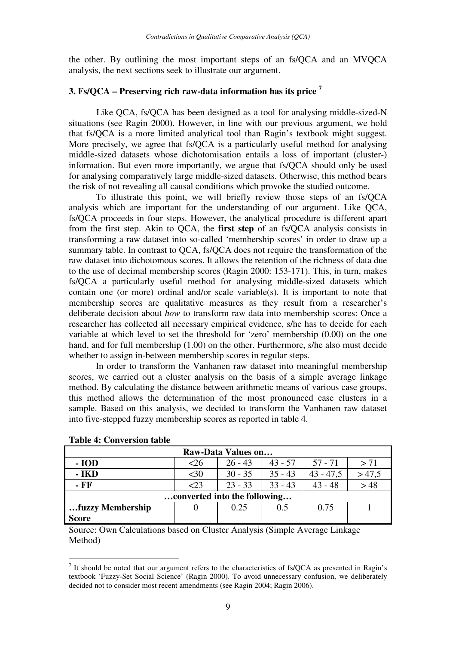the other. By outlining the most important steps of an fs/QCA and an MVQCA analysis, the next sections seek to illustrate our argument.

#### **3. Fs/QCA – Preserving rich raw-data information has its price <sup>7</sup>**

 Like QCA, fs/QCA has been designed as a tool for analysing middle-sized-N situations (see Ragin 2000). However, in line with our previous argument, we hold that fs/QCA is a more limited analytical tool than Ragin's textbook might suggest. More precisely, we agree that fs/QCA is a particularly useful method for analysing middle-sized datasets whose dichotomisation entails a loss of important (cluster-) information. But even more importantly, we argue that fs/QCA should only be used for analysing comparatively large middle-sized datasets. Otherwise, this method bears the risk of not revealing all causal conditions which provoke the studied outcome.

To illustrate this point, we will briefly review those steps of an fs/QCA analysis which are important for the understanding of our argument. Like QCA, fs/QCA proceeds in four steps. However, the analytical procedure is different apart from the first step. Akin to QCA, the **first step** of an fs/QCA analysis consists in transforming a raw dataset into so-called 'membership scores' in order to draw up a summary table. In contrast to QCA, fs/QCA does not require the transformation of the raw dataset into dichotomous scores. It allows the retention of the richness of data due to the use of decimal membership scores (Ragin 2000: 153-171). This, in turn, makes fs/QCA a particularly useful method for analysing middle-sized datasets which contain one (or more) ordinal and/or scale variable(s). It is important to note that membership scores are qualitative measures as they result from a researcher's deliberate decision about *how* to transform raw data into membership scores: Once a researcher has collected all necessary empirical evidence, s/he has to decide for each variable at which level to set the threshold for 'zero' membership (0.00) on the one hand, and for full membership (1.00) on the other. Furthermore, s/he also must decide whether to assign in-between membership scores in regular steps.

In order to transform the Vanhanen raw dataset into meaningful membership scores, we carried out a cluster analysis on the basis of a simple average linkage method. By calculating the distance between arithmetic means of various case groups, this method allows the determination of the most pronounced case clusters in a sample. Based on this analysis, we decided to transform the Vanhanen raw dataset into five-stepped fuzzy membership scores as reported in table 4.

| Raw-Data Values on           |        |           |           |             |       |  |  |
|------------------------------|--------|-----------|-----------|-------------|-------|--|--|
| $-IOD$                       | <26    | $26 - 43$ | $43 - 57$ | $57 - 71$   | > 71  |  |  |
| - <b>IKD</b>                 | $30$   | $30 - 35$ | $35 - 43$ | $43 - 47,5$ | >47,5 |  |  |
| - FF                         | $<$ 23 | $23 - 33$ | $33 - 43$ | $43 - 48$   | > 48  |  |  |
| converted into the following |        |           |           |             |       |  |  |
| fuzzy Membership             |        | 0.25      | 0.5       | 0.75        |       |  |  |
| <b>Score</b>                 |        |           |           |             |       |  |  |

**Table 4: Conversion table** 

 $\overline{a}$ 

Source: Own Calculations based on Cluster Analysis (Simple Average Linkage Method)

 $<sup>7</sup>$  It should be noted that our argument refers to the characteristics of fs/QCA as presented in Ragin's</sup> textbook 'Fuzzy-Set Social Science' (Ragin 2000). To avoid unnecessary confusion, we deliberately decided not to consider most recent amendments (see Ragin 2004; Ragin 2006).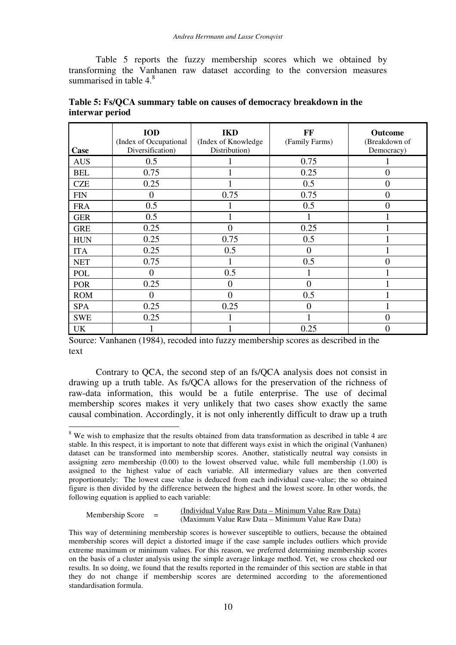Table 5 reports the fuzzy membership scores which we obtained by transforming the Vanhanen raw dataset according to the conversion measures summarised in table  $4<sup>8</sup>$ 

| Case       | <b>IOD</b><br>(Index of Occupational<br>Diversification) | <b>IKD</b><br>(Index of Knowledge)<br>Distribution) | FF<br>(Family Farms) | Outcome<br>(Breakdown of<br>Democracy) |
|------------|----------------------------------------------------------|-----------------------------------------------------|----------------------|----------------------------------------|
| <b>AUS</b> | 0.5                                                      |                                                     | 0.75                 |                                        |
| <b>BEL</b> | 0.75                                                     |                                                     | 0.25                 | $\overline{0}$                         |
| <b>CZE</b> | 0.25                                                     |                                                     | 0.5                  | $\overline{0}$                         |
| <b>FIN</b> | $\theta$                                                 | 0.75                                                | 0.75                 | $\overline{0}$                         |
| <b>FRA</b> | 0.5                                                      |                                                     | 0.5                  | $\overline{0}$                         |
| <b>GER</b> | 0.5                                                      |                                                     |                      |                                        |
| <b>GRE</b> | 0.25                                                     | $\Omega$                                            | 0.25                 |                                        |
| <b>HUN</b> | 0.25                                                     | 0.75                                                | 0.5                  |                                        |
| <b>ITA</b> | 0.25                                                     | 0.5                                                 | $\overline{0}$       |                                        |
| <b>NET</b> | 0.75                                                     |                                                     | 0.5                  | 0                                      |
| <b>POL</b> | 0                                                        | 0.5                                                 |                      |                                        |
| <b>POR</b> | 0.25                                                     | $\mathbf{\Omega}$                                   | 0                    |                                        |
| <b>ROM</b> | 0                                                        | $\Omega$                                            | 0.5                  |                                        |
| <b>SPA</b> | 0.25                                                     | 0.25                                                | $\overline{0}$       |                                        |
| <b>SWE</b> | 0.25                                                     |                                                     |                      | 0                                      |
| <b>UK</b>  |                                                          |                                                     | 0.25                 | 0                                      |

| Table 5: Fs/QCA summary table on causes of democracy breakdown in the |  |
|-----------------------------------------------------------------------|--|
| interwar period                                                       |  |

Source: Vanhanen (1984), recoded into fuzzy membership scores as described in the text

Contrary to QCA, the second step of an fs/QCA analysis does not consist in drawing up a truth table. As fs/QCA allows for the preservation of the richness of raw-data information, this would be a futile enterprise. The use of decimal membership scores makes it very unlikely that two cases show exactly the same causal combination. Accordingly, it is not only inherently difficult to draw up a truth

## Membership Score =  $\frac{\text{(Individual Value Raw Data - Minimum Value Raw Data)}}{\text{(Maximum Value Raw Data - Minimum Value Raw Data)}}$

 $\overline{a}$ <sup>8</sup> We wish to emphasize that the results obtained from data transformation as described in table 4 are stable. In this respect, it is important to note that different ways exist in which the original (Vanhanen) dataset can be transformed into membership scores. Another, statistically neutral way consists in assigning zero membership  $(0.00)$  to the lowest observed value, while full membership  $(1.00)$  is assigned to the highest value of each variable. All intermediary values are then converted proportionately: The lowest case value is deduced from each individual case-value; the so obtained figure is then divided by the difference between the highest and the lowest score. In other words, the following equation is applied to each variable:

This way of determining membership scores is however susceptible to outliers, because the obtained membership scores will depict a distorted image if the case sample includes outliers which provide extreme maximum or minimum values. For this reason, we preferred determining membership scores on the basis of a cluster analysis using the simple average linkage method. Yet, we cross checked our results. In so doing, we found that the results reported in the remainder of this section are stable in that they do not change if membership scores are determined according to the aforementioned standardisation formula.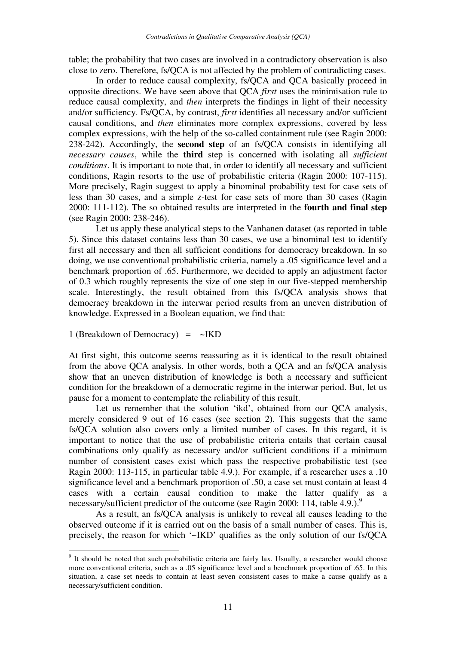table; the probability that two cases are involved in a contradictory observation is also close to zero. Therefore, fs/QCA is not affected by the problem of contradicting cases.

In order to reduce causal complexity, fs/QCA and QCA basically proceed in opposite directions. We have seen above that QCA *first* uses the minimisation rule to reduce causal complexity, and *then* interprets the findings in light of their necessity and/or sufficiency. Fs/QCA, by contrast, *first* identifies all necessary and/or sufficient causal conditions, and *then* eliminates more complex expressions, covered by less complex expressions, with the help of the so-called containment rule (see Ragin 2000: 238-242). Accordingly, the **second step** of an fs/QCA consists in identifying all *necessary causes*, while the **third** step is concerned with isolating all *sufficient conditions*. It is important to note that, in order to identify all necessary and sufficient conditions, Ragin resorts to the use of probabilistic criteria (Ragin 2000: 107-115). More precisely, Ragin suggest to apply a binominal probability test for case sets of less than 30 cases, and a simple z-test for case sets of more than 30 cases (Ragin 2000: 111-112). The so obtained results are interpreted in the **fourth and final step** (see Ragin 2000: 238-246).

Let us apply these analytical steps to the Vanhanen dataset (as reported in table 5). Since this dataset contains less than 30 cases, we use a binominal test to identify first all necessary and then all sufficient conditions for democracy breakdown. In so doing, we use conventional probabilistic criteria, namely a .05 significance level and a benchmark proportion of .65. Furthermore, we decided to apply an adjustment factor of 0.3 which roughly represents the size of one step in our five-stepped membership scale. Interestingly, the result obtained from this fs/QCA analysis shows that democracy breakdown in the interwar period results from an uneven distribution of knowledge. Expressed in a Boolean equation, we find that:

1 (Breakdown of Democracy)  $=$  ~IKD

 $\overline{a}$ 

At first sight, this outcome seems reassuring as it is identical to the result obtained from the above QCA analysis. In other words, both a QCA and an fs/QCA analysis show that an uneven distribution of knowledge is both a necessary and sufficient condition for the breakdown of a democratic regime in the interwar period. But, let us pause for a moment to contemplate the reliability of this result.

Let us remember that the solution 'ikd', obtained from our QCA analysis, merely considered 9 out of 16 cases (see section 2). This suggests that the same fs/QCA solution also covers only a limited number of cases. In this regard, it is important to notice that the use of probabilistic criteria entails that certain causal combinations only qualify as necessary and/or sufficient conditions if a minimum number of consistent cases exist which pass the respective probabilistic test (see Ragin 2000: 113-115, in particular table 4.9.). For example, if a researcher uses a .10 significance level and a benchmark proportion of .50, a case set must contain at least 4 cases with a certain causal condition to make the latter qualify as a necessary/sufficient predictor of the outcome (see Ragin 2000: 114, table 4.9.).<sup>9</sup>

As a result, an fs/QCA analysis is unlikely to reveal all causes leading to the observed outcome if it is carried out on the basis of a small number of cases. This is, precisely, the reason for which '~IKD' qualifies as the only solution of our fs/QCA

<sup>&</sup>lt;sup>9</sup> It should be noted that such probabilistic criteria are fairly lax. Usually, a researcher would choose more conventional criteria, such as a .05 significance level and a benchmark proportion of .65. In this situation, a case set needs to contain at least seven consistent cases to make a cause qualify as a necessary/sufficient condition.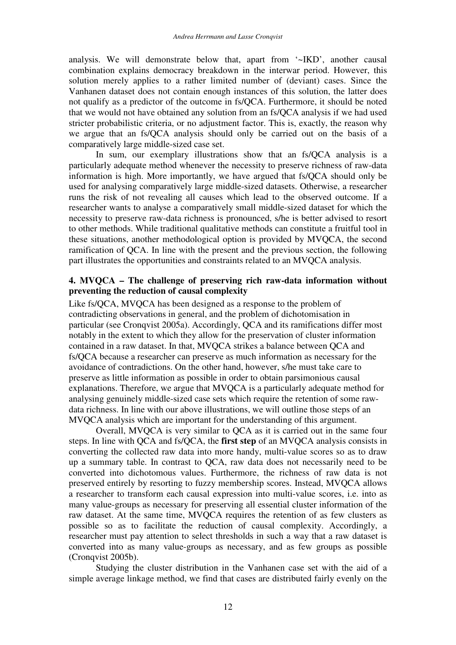analysis. We will demonstrate below that, apart from '~IKD', another causal combination explains democracy breakdown in the interwar period. However, this solution merely applies to a rather limited number of (deviant) cases. Since the Vanhanen dataset does not contain enough instances of this solution, the latter does not qualify as a predictor of the outcome in fs/QCA. Furthermore, it should be noted that we would not have obtained any solution from an fs/QCA analysis if we had used stricter probabilistic criteria, or no adjustment factor. This is, exactly, the reason why we argue that an fs/QCA analysis should only be carried out on the basis of a comparatively large middle-sized case set.

In sum, our exemplary illustrations show that an fs/QCA analysis is a particularly adequate method whenever the necessity to preserve richness of raw-data information is high. More importantly, we have argued that fs/QCA should only be used for analysing comparatively large middle-sized datasets. Otherwise, a researcher runs the risk of not revealing all causes which lead to the observed outcome. If a researcher wants to analyse a comparatively small middle-sized dataset for which the necessity to preserve raw-data richness is pronounced, s/he is better advised to resort to other methods. While traditional qualitative methods can constitute a fruitful tool in these situations, another methodological option is provided by MVQCA, the second ramification of QCA. In line with the present and the previous section, the following part illustrates the opportunities and constraints related to an MVQCA analysis.

#### **4. MVQCA – The challenge of preserving rich raw-data information without preventing the reduction of causal complexity**

Like fs/QCA, MVQCA has been designed as a response to the problem of contradicting observations in general, and the problem of dichotomisation in particular (see Cronqvist 2005a). Accordingly, QCA and its ramifications differ most notably in the extent to which they allow for the preservation of cluster information contained in a raw dataset. In that, MVQCA strikes a balance between QCA and fs/QCA because a researcher can preserve as much information as necessary for the avoidance of contradictions. On the other hand, however, s/he must take care to preserve as little information as possible in order to obtain parsimonious causal explanations. Therefore, we argue that MVQCA is a particularly adequate method for analysing genuinely middle-sized case sets which require the retention of some rawdata richness. In line with our above illustrations, we will outline those steps of an MVQCA analysis which are important for the understanding of this argument.

Overall, MVQCA is very similar to QCA as it is carried out in the same four steps. In line with QCA and fs/QCA, the **first step** of an MVQCA analysis consists in converting the collected raw data into more handy, multi-value scores so as to draw up a summary table. In contrast to QCA, raw data does not necessarily need to be converted into dichotomous values. Furthermore, the richness of raw data is not preserved entirely by resorting to fuzzy membership scores. Instead, MVQCA allows a researcher to transform each causal expression into multi-value scores, i.e. into as many value-groups as necessary for preserving all essential cluster information of the raw dataset. At the same time, MVQCA requires the retention of as few clusters as possible so as to facilitate the reduction of causal complexity. Accordingly, a researcher must pay attention to select thresholds in such a way that a raw dataset is converted into as many value-groups as necessary, and as few groups as possible (Cronqvist 2005b).

Studying the cluster distribution in the Vanhanen case set with the aid of a simple average linkage method, we find that cases are distributed fairly evenly on the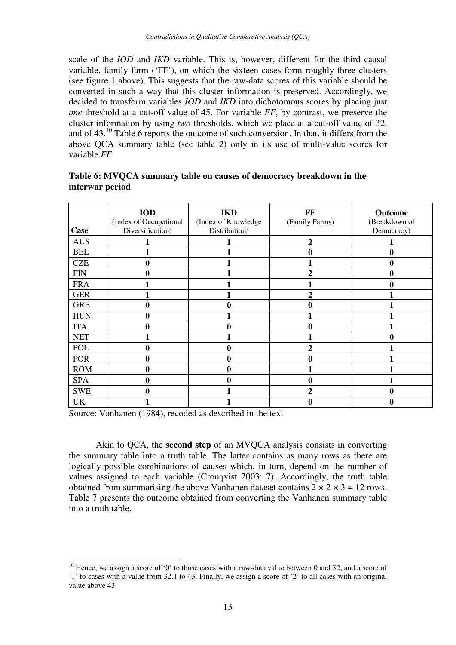scale of the *IOD* and *IKD* variable. This is, however, different for the third causal variable, family farm ('FF'), on which the sixteen cases form roughly three clusters (see figure 1 above). This suggests that the raw-data scores of this variable should be converted in such a way that this cluster information is preserved. Accordingly, we decided to transform variables *IOD* and *IKD* into dichotomous scores by placing just *one* threshold at a cut-off value of 45. For variable *FF*, by contrast, we preserve the cluster information by using *two* thresholds, which we place at a cut-off value of 32, and of 43.<sup>10</sup> Table 6 reports the outcome of such conversion. In that, it differs from the above QCA summary table (see table 2) only in its use of multi-value scores for variable *FF*.

| Case       | <b>IOD</b><br>(Index of Occupational<br>Diversification) | <b>IKD</b><br>(Index of Knowledge<br>Distribution) | FF<br>(Family Farms) | Outcome<br>(Breakdown of<br>Democracy) |
|------------|----------------------------------------------------------|----------------------------------------------------|----------------------|----------------------------------------|
| <b>AUS</b> |                                                          |                                                    | 2                    |                                        |
| <b>BEL</b> |                                                          |                                                    | 0                    | $\bf{0}$                               |
| <b>CZE</b> | 0                                                        |                                                    |                      | $\bf{0}$                               |
| <b>FIN</b> | 0                                                        |                                                    | 2                    | $\boldsymbol{0}$                       |
| <b>FRA</b> |                                                          |                                                    |                      | 0                                      |
| <b>GER</b> |                                                          |                                                    | 2                    |                                        |
| <b>GRE</b> | 0                                                        |                                                    | 0                    |                                        |
| <b>HUN</b> | 0                                                        |                                                    |                      |                                        |
| <b>ITA</b> | 0                                                        | o                                                  | 0                    |                                        |
| <b>NET</b> |                                                          |                                                    |                      | 0                                      |
| <b>POL</b> | 0                                                        |                                                    | $\mathbf{2}$         |                                        |
| <b>POR</b> | 0                                                        |                                                    | 0                    |                                        |
| <b>ROM</b> | 0                                                        |                                                    |                      |                                        |
| <b>SPA</b> | 0                                                        | 0                                                  | 0                    |                                        |
| <b>SWE</b> | 0                                                        |                                                    | $\mathbf{2}$         | 0                                      |
| UK         |                                                          |                                                    |                      |                                        |

#### **Table 6: MVQCA summary table on causes of democracy breakdown in the interwar period**

Source: Vanhanen (1984), recoded as described in the text

 $\overline{a}$ 

Akin to QCA, the **second step** of an MVQCA analysis consists in converting the summary table into a truth table. The latter contains as many rows as there are logically possible combinations of causes which, in turn, depend on the number of values assigned to each variable (Cronqvist 2003: 7). Accordingly, the truth table obtained from summarising the above Vanhanen dataset contains  $2 \times 2 \times 3 = 12$  rows. Table 7 presents the outcome obtained from converting the Vanhanen summary table into a truth table.

<sup>&</sup>lt;sup>10</sup> Hence, we assign a score of '0' to those cases with a raw-data value between 0 and 32, and a score of '1' to cases with a value from 32.1 to 43. Finally, we assign a score of '2' to all cases with an original value above 43.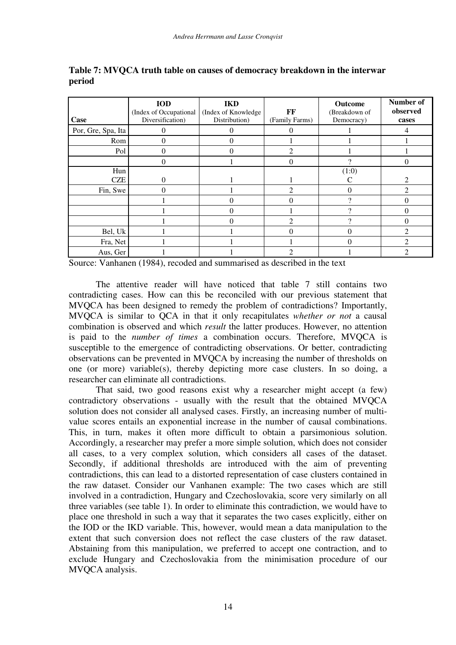| Case               | <b>IOD</b><br>(Index of Occupational<br>Diversification) | <b>IKD</b><br>(Index of Knowledge<br>Distribution) | FF<br>(Family Farms)        | Outcome<br>(Breakdown of<br>Democracy) | Number of<br>observed<br>cases |
|--------------------|----------------------------------------------------------|----------------------------------------------------|-----------------------------|----------------------------------------|--------------------------------|
| Por, Gre, Spa, Ita | 0                                                        |                                                    |                             |                                        |                                |
| Rom                | $\Omega$                                                 |                                                    |                             |                                        |                                |
| Pol                | $\Omega$                                                 |                                                    | $\mathcal{D}_{\mathcal{L}}$ |                                        |                                |
|                    | 0                                                        |                                                    | $\Omega$                    |                                        | $\theta$                       |
| Hun<br><b>CZE</b>  | $\Omega$                                                 |                                                    |                             | (1:0)                                  | $\mathcal{D}_{\mathcal{A}}$    |
| Fin, Swe           | 0                                                        |                                                    | $\mathcal{D}_{\mathcal{L}}$ | 0                                      | っ                              |
|                    |                                                          |                                                    |                             | ച                                      | $\Omega$                       |
|                    |                                                          | 0                                                  |                             |                                        | $\Omega$                       |
|                    |                                                          |                                                    |                             |                                        |                                |
| Bel, Uk            |                                                          |                                                    |                             | 0                                      |                                |
| Fra, Net           |                                                          |                                                    |                             | $\theta$                               | $\mathfrak{D}$                 |
| Aus, Ger           |                                                          |                                                    | $\mathfrak{D}$              |                                        |                                |

**Table 7: MVQCA truth table on causes of democracy breakdown in the interwar period** 

Source: Vanhanen (1984), recoded and summarised as described in the text

The attentive reader will have noticed that table 7 still contains two contradicting cases. How can this be reconciled with our previous statement that MVQCA has been designed to remedy the problem of contradictions? Importantly, MVQCA is similar to QCA in that it only recapitulates *whether or not* a causal combination is observed and which *result* the latter produces. However, no attention is paid to the *number of times* a combination occurs. Therefore, MVQCA is susceptible to the emergence of contradicting observations. Or better, contradicting observations can be prevented in MVQCA by increasing the number of thresholds on one (or more) variable(s), thereby depicting more case clusters. In so doing, a researcher can eliminate all contradictions.

That said, two good reasons exist why a researcher might accept (a few) contradictory observations - usually with the result that the obtained MVQCA solution does not consider all analysed cases. Firstly, an increasing number of multivalue scores entails an exponential increase in the number of causal combinations. This, in turn, makes it often more difficult to obtain a parsimonious solution. Accordingly, a researcher may prefer a more simple solution, which does not consider all cases, to a very complex solution, which considers all cases of the dataset. Secondly, if additional thresholds are introduced with the aim of preventing contradictions, this can lead to a distorted representation of case clusters contained in the raw dataset. Consider our Vanhanen example: The two cases which are still involved in a contradiction, Hungary and Czechoslovakia, score very similarly on all three variables (see table 1). In order to eliminate this contradiction, we would have to place one threshold in such a way that it separates the two cases explicitly, either on the IOD or the IKD variable. This, however, would mean a data manipulation to the extent that such conversion does not reflect the case clusters of the raw dataset. Abstaining from this manipulation, we preferred to accept one contraction, and to exclude Hungary and Czechoslovakia from the minimisation procedure of our MVQCA analysis.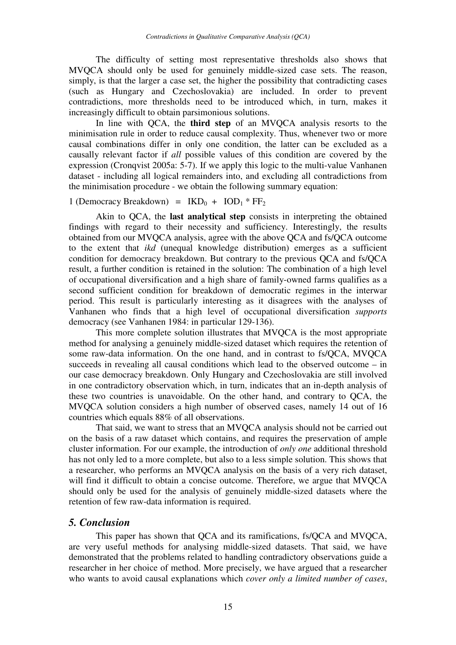The difficulty of setting most representative thresholds also shows that MVQCA should only be used for genuinely middle-sized case sets. The reason, simply, is that the larger a case set, the higher the possibility that contradicting cases (such as Hungary and Czechoslovakia) are included. In order to prevent contradictions, more thresholds need to be introduced which, in turn, makes it increasingly difficult to obtain parsimonious solutions.

In line with QCA, the **third step** of an MVQCA analysis resorts to the minimisation rule in order to reduce causal complexity. Thus, whenever two or more causal combinations differ in only one condition, the latter can be excluded as a causally relevant factor if *all* possible values of this condition are covered by the expression (Cronqvist 2005a: 5-7). If we apply this logic to the multi-value Vanhanen dataset - including all logical remainders into, and excluding all contradictions from the minimisation procedure - we obtain the following summary equation:

#### 1 (Democracy Breakdown) =  $IKD_0 + IOD_1 * FF_2$

Akin to QCA, the **last analytical step** consists in interpreting the obtained findings with regard to their necessity and sufficiency. Interestingly, the results obtained from our MVQCA analysis, agree with the above QCA and fs/QCA outcome to the extent that *ikd* (unequal knowledge distribution) emerges as a sufficient condition for democracy breakdown. But contrary to the previous QCA and fs/QCA result, a further condition is retained in the solution: The combination of a high level of occupational diversification and a high share of family-owned farms qualifies as a second sufficient condition for breakdown of democratic regimes in the interwar period. This result is particularly interesting as it disagrees with the analyses of Vanhanen who finds that a high level of occupational diversification *supports* democracy (see Vanhanen 1984: in particular 129-136).

This more complete solution illustrates that MVQCA is the most appropriate method for analysing a genuinely middle-sized dataset which requires the retention of some raw-data information. On the one hand, and in contrast to fs/QCA, MVQCA succeeds in revealing all causal conditions which lead to the observed outcome – in our case democracy breakdown. Only Hungary and Czechoslovakia are still involved in one contradictory observation which, in turn, indicates that an in-depth analysis of these two countries is unavoidable. On the other hand, and contrary to QCA, the MVQCA solution considers a high number of observed cases, namely 14 out of 16 countries which equals 88% of all observations.

That said, we want to stress that an MVQCA analysis should not be carried out on the basis of a raw dataset which contains, and requires the preservation of ample cluster information. For our example, the introduction of *only one* additional threshold has not only led to a more complete, but also to a less simple solution. This shows that a researcher, who performs an MVQCA analysis on the basis of a very rich dataset, will find it difficult to obtain a concise outcome. Therefore, we argue that MVQCA should only be used for the analysis of genuinely middle-sized datasets where the retention of few raw-data information is required.

#### *5. Conclusion*

This paper has shown that QCA and its ramifications, fs/QCA and MVQCA, are very useful methods for analysing middle-sized datasets. That said, we have demonstrated that the problems related to handling contradictory observations guide a researcher in her choice of method. More precisely, we have argued that a researcher who wants to avoid causal explanations which *cover only a limited number of cases*,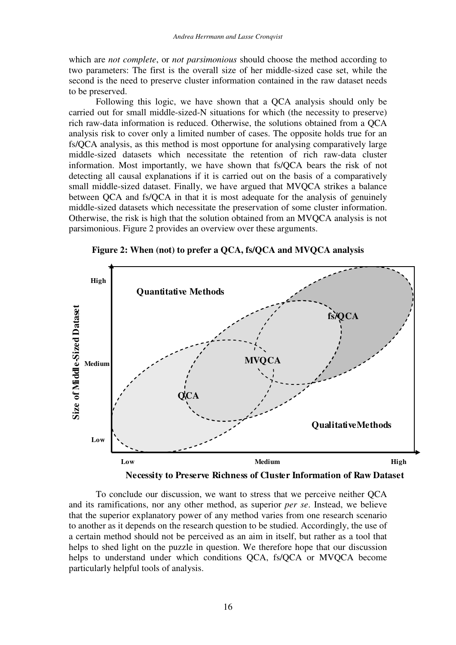which are *not complete*, or *not parsimonious* should choose the method according to two parameters: The first is the overall size of her middle-sized case set, while the second is the need to preserve cluster information contained in the raw dataset needs to be preserved.

Following this logic, we have shown that a QCA analysis should only be carried out for small middle-sized-N situations for which (the necessity to preserve) rich raw-data information is reduced. Otherwise, the solutions obtained from a QCA analysis risk to cover only a limited number of cases. The opposite holds true for an fs/QCA analysis, as this method is most opportune for analysing comparatively large middle-sized datasets which necessitate the retention of rich raw-data cluster information. Most importantly, we have shown that fs/QCA bears the risk of not detecting all causal explanations if it is carried out on the basis of a comparatively small middle-sized dataset. Finally, we have argued that MVQCA strikes a balance between QCA and fs/QCA in that it is most adequate for the analysis of genuinely middle-sized datasets which necessitate the preservation of some cluster information. Otherwise, the risk is high that the solution obtained from an MVQCA analysis is not parsimonious. Figure 2 provides an overview over these arguments.







To conclude our discussion, we want to stress that we perceive neither QCA and its ramifications, nor any other method, as superior *per se*. Instead, we believe that the superior explanatory power of any method varies from one research scenario to another as it depends on the research question to be studied. Accordingly, the use of a certain method should not be perceived as an aim in itself, but rather as a tool that helps to shed light on the puzzle in question. We therefore hope that our discussion helps to understand under which conditions OCA, fs/OCA or MVOCA become particularly helpful tools of analysis.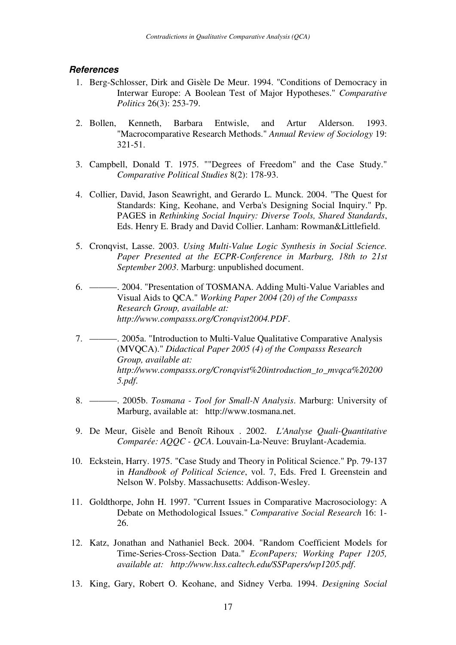#### **References**

- 1. Berg-Schlosser, Dirk and Gisèle De Meur. 1994. "Conditions of Democracy in Interwar Europe: A Boolean Test of Major Hypotheses." *Comparative Politics* 26(3): 253-79.
- 2. Bollen, Kenneth, Barbara Entwisle, and Artur Alderson. 1993. "Macrocomparative Research Methods." *Annual Review of Sociology* 19: 321-51.
- 3. Campbell, Donald T. 1975. ""Degrees of Freedom" and the Case Study." *Comparative Political Studies* 8(2): 178-93.
- 4. Collier, David, Jason Seawright, and Gerardo L. Munck. 2004. "The Quest for Standards: King, Keohane, and Verba's Designing Social Inquiry." Pp. PAGES in *Rethinking Social Inquiry: Diverse Tools, Shared Standards*, Eds. Henry E. Brady and David Collier. Lanham: Rowman&Littlefield.
- 5. Cronqvist, Lasse. 2003. *Using Multi-Value Logic Synthesis in Social Science. Paper Presented at the ECPR-Conference in Marburg, 18th to 21st September 2003*. Marburg: unpublished document.
- 6. ———. 2004. "Presentation of TOSMANA. Adding Multi-Value Variables and Visual Aids to QCA." *Working Paper 2004 (20) of the Compasss Research Group, available at: http://www.compasss.org/Cronqvist2004.PDF*.
- 7. ———. 2005a. "Introduction to Multi-Value Qualitative Comparative Analysis (MVQCA)." *Didactical Paper 2005 (4) of the Compasss Research Group, available at: http://www.compasss.org/Cronqvist%20introduction\_to\_mvqca%20200 5.pdf*.
- 8. ———. 2005b. *Tosmana Tool for Small-N Analysis*. Marburg: University of Marburg, available at: http://www.tosmana.net.
- 9. De Meur, Gisèle and Benoît Rihoux . 2002. *L'Analyse Quali-Quantitative Comparée: AQQC - QCA*. Louvain-La-Neuve: Bruylant-Academia.
- 10. Eckstein, Harry. 1975. "Case Study and Theory in Political Science." Pp. 79-137 in *Handbook of Political Science*, vol. 7, Eds. Fred I. Greenstein and Nelson W. Polsby. Massachusetts: Addison-Wesley.
- 11. Goldthorpe, John H. 1997. "Current Issues in Comparative Macrosociology: A Debate on Methodological Issues." *Comparative Social Research* 16: 1- 26.
- 12. Katz, Jonathan and Nathaniel Beck. 2004. "Random Coefficient Models for Time-Series-Cross-Section Data." *EconPapers; Working Paper 1205, available at: http://www.hss.caltech.edu/SSPapers/wp1205.pdf*.
- 13. King, Gary, Robert O. Keohane, and Sidney Verba. 1994. *Designing Social*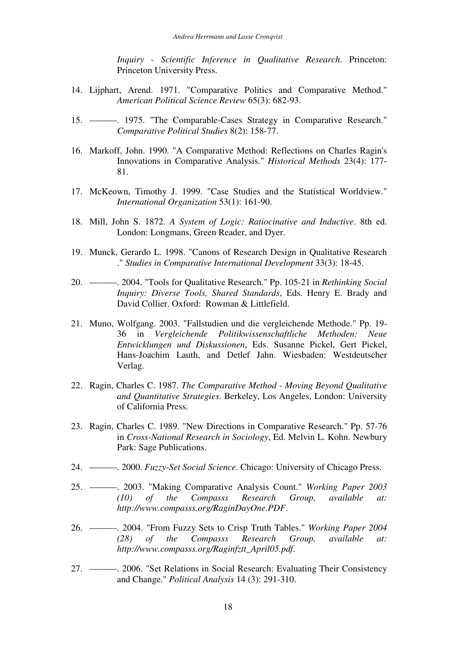*Inquiry - Scientific Inference in Qualitative Research*. Princeton: Princeton University Press.

- 14. Lijphart, Arend. 1971. "Comparative Politics and Comparative Method." *American Political Science Review* 65(3): 682-93.
- 15. ———. 1975. "The Comparable-Cases Strategy in Comparative Research." *Comparative Political Studies* 8(2): 158-77.
- 16. Markoff, John. 1990. "A Comparative Method: Reflections on Charles Ragin's Innovations in Comparative Analysis." *Historical Methods* 23(4): 177- 81.
- 17. McKeown, Timothy J. 1999. "Case Studies and the Statistical Worldview." *International Organization* 53(1): 161-90.
- 18. Mill, John S. 1872. *A System of Logic: Ratiocinative and Inductive*. 8th ed. London: Longmans, Green Reader, and Dyer.
- 19. Munck, Gerardo L. 1998. "Canons of Research Design in Qualitative Research ." *Studies in Comparative International Development* 33(3): 18-45.
- 20. ———. 2004. "Tools for Qualitative Research." Pp. 105-21 in *Rethinking Social Inquiry: Diverse Tools, Shared Standards*, Eds. Henry E. Brady and David Collier. Oxford: Rowman & Littlefield.
- 21. Muno, Wolfgang. 2003. "Fallstudien und die vergleichende Methode." Pp. 19- 36 in *Vergleichende Politikwissenschaftliche Methoden: Neue Entwicklungen und Diskussionen*, Eds. Susanne Pickel, Gert Pickel, Hans-Joachim Lauth, and Detlef Jahn. Wiesbaden: Westdeutscher Verlag.
- 22. Ragin, Charles C. 1987. *The Comparative Method Moving Beyond Qualitative and Quantitative Strategies*. Berkeley, Los Angeles, London: University of California Press.
- 23. Ragin, Charles C. 1989. "New Directions in Comparative Research." Pp. 57-76 in *Cross-National Research in Sociology*, Ed. Melvin L. Kohn. Newbury Park: Sage Publications.
- 24. ———. 2000. *Fuzzy-Set Social Science*. Chicago: University of Chicago Press.
- 25. ———. 2003. "Making Comparative Analysis Count." *Working Paper 2003 (10) of the Compasss Research Group, available at: http://www.compasss.org/RaginDayOne.PDF*.
- 26. ———. 2004. "From Fuzzy Sets to Crisp Truth Tables." *Working Paper 2004 (28) of the Compasss Research Group, available at: http://www.compasss.org/Raginfztt\_April05.pdf*.
- 27. ———. 2006. "Set Relations in Social Research: Evaluating Their Consistency and Change." *Political Analysis* 14 (3): 291-310.